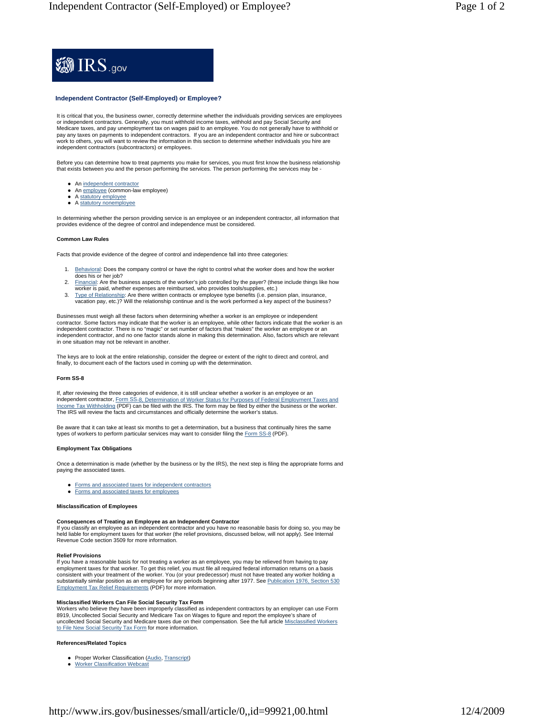

# **Independent Contractor (Self-Employed) or Employee?**

It is critical that you, the business owner, correctly determine whether the individuals providing services are employees or independent contractors. Generally, you must withhold income taxes, withhold and pay Social Security and Medicare taxes, and pay unemployment tax on wages paid to an employee. You do not generally have to withhold or pay any taxes on payments to independent contractors. If you are an independent contractor and hire or subcontract work to others, you will want to review the information in this section to determine whether individuals you hire are independent contractors (subcontractors) or employees.

Before you can determine how to treat payments you make for services, you must first know the business relationship that exists between you and the person performing the services. The person performing the services may be -

- An independent contractor
- An employee (common-law employee)
- A statutory employee
- A statutory nonemployee

In determining whether the person providing service is an employee or an independent contractor, all information that provides evidence of the degree of control and independence must be considered.

# **Common Law Rules**

Facts that provide evidence of the degree of control and independence fall into three categories:

- 1. Behavioral: Does the company control or have the right to control what the worker does and how the worker does his or her job?
- 2. Financial: Are the business aspects of the worker's job controlled by the payer? (these include things like how worker is paid, whether expenses are reimbursed, who provides tools/supplies, etc.)
- 3. Type of Relationship: Are there written contracts or employee type benefits (i.e. pension plan, insurance, vacation pay, etc.)? Will the relationship continue and is the work performed a key aspect of the business?

Businesses must weigh all these factors when determining whether a worker is an employee or independent<br>contractor. Some factors may indicate that the worker is an employee, while other factors indicate that the worker is independent contractor. There is no "magic" or set number of factors that "makes" the worker an employee or an independent contractor, and no one factor stands alone in making this determination. Also, factors which are relevant in one situation may not be relevant in another.

The keys are to look at the entire relationship, consider the degree or extent of the right to direct and control, and finally, to document each of the factors used in coming up with the determination.

### **Form SS-8**

If, after reviewing the three categories of evidence, it is still unclear whether a worker is an employee or an independent contractor, Form SS-8, Determination of Worker Status for Purposes of Federal Employment Taxes and Income Tax Withholding (PDF) can be filed with the IRS. The form may be filed by either the business or the worker. The IRS will review the facts and circumstances and officially determine the worker's status.

Be aware that it can take at least six months to get a determination, but a business that continually hires the same types of workers to perform particular services may want to consider filing the Form SS-8 (PDF).

#### **Employment Tax Obligations**

Once a determination is made (whether by the business or by the IRS), the next step is filing the appropriate forms and paying the associated taxes.

- Forms and associated taxes for independent contractors
- **•** Forms and associated taxes for employees

## **Misclassification of Employees**

## **Consequences of Treating an Employee as an Independent Contractor**

If you classify an employee as an independent contractor and you have no reasonable basis for doing so, you may be held liable for employment taxes for that worker (the relief provisions, discussed below, will not apply). See Internal Revenue Code section 3509 for more information.

#### **Relief Provisions**

If you have a reasonable basis for not treating a worker as an employee, you may be relieved from having to pay<br>employment taxes for that worker. To get this relief, you must file all required federal information returns o employment taxes for that worker. To get this relief, you must file all required federal information returns on a consistent with your treatment of the worker. You (or your predecessor) must not have treated any worker holding a substantially similar position as an employee for any periods beginning after 1977. See Publication 1976, Section 530 Employment Tax Relief Requirements (PDF) for more information.

### **Misclassified Workers Can File Social Security Tax Form**

Workers who believe they have been improperly classified as independent contractors by an employer can use Form<br>8919, Uncollected Social Security and Medicare Tax on Wages to figure and report the employee's share of<br>uncol to File New Social Security Tax Form for more information.

### **References/Related Topics**

- Proper Worker Classification (Audio, Transcript)
- Worker Classification Webcast